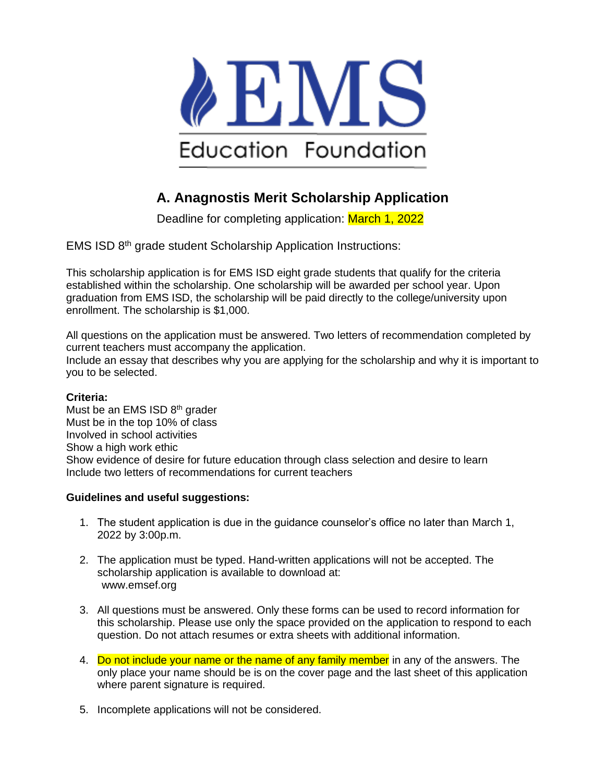

# **A. Anagnostis Merit Scholarship Application**

Deadline for completing application: March 1, 2022

EMS ISD 8th grade student Scholarship Application Instructions:

This scholarship application is for EMS ISD eight grade students that qualify for the criteria established within the scholarship. One scholarship will be awarded per school year. Upon graduation from EMS ISD, the scholarship will be paid directly to the college/university upon enrollment. The scholarship is \$1,000.

All questions on the application must be answered. Two letters of recommendation completed by current teachers must accompany the application. Include an essay that describes why you are applying for the scholarship and why it is important to you to be selected.

#### **Criteria:**

Must be an EMS ISD  $8<sup>th</sup>$  grader Must be in the top 10% of class Involved in school activities Show a high work ethic Show evidence of desire for future education through class selection and desire to learn Include two letters of recommendations for current teachers

#### **Guidelines and useful suggestions:**

- 1. The student application is due in the guidance counselor's office no later than March 1, 2022 by 3:00p.m.
- 2. The application must be typed. Hand-written applications will not be accepted. The scholarship application is available to download at: www.emsef.org
- 3. All questions must be answered. Only these forms can be used to record information for this scholarship. Please use only the space provided on the application to respond to each question. Do not attach resumes or extra sheets with additional information.
- 4. Do not include your name or the name of any family member in any of the answers. The only place your name should be is on the cover page and the last sheet of this application where parent signature is required.
- 5. Incomplete applications will not be considered.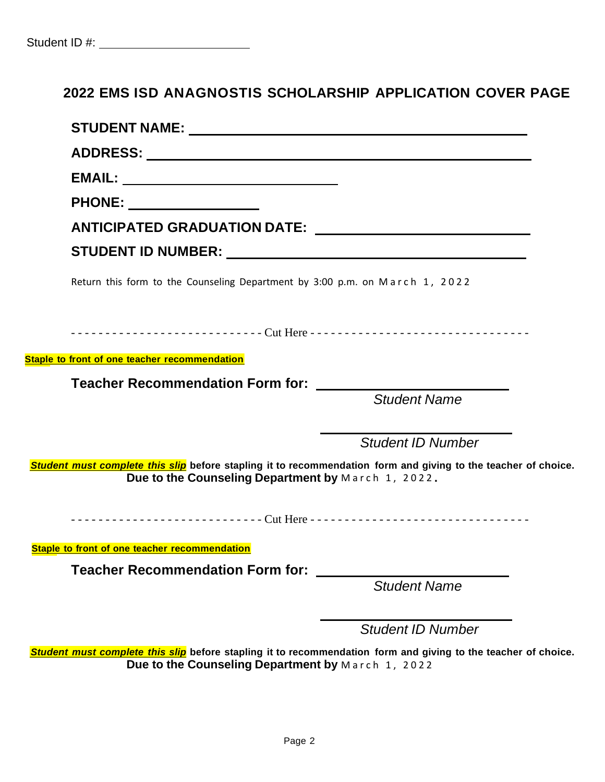# **2022 EMS ISD ANAGNOSTIS SCHOLARSHIP APPLICATION COVER PAGE**

| PHONE: _________________                                                                                                                                             |                          |
|----------------------------------------------------------------------------------------------------------------------------------------------------------------------|--------------------------|
|                                                                                                                                                                      |                          |
|                                                                                                                                                                      |                          |
| Return this form to the Counseling Department by 3:00 p.m. on March 1, 2022                                                                                          |                          |
|                                                                                                                                                                      |                          |
|                                                                                                                                                                      |                          |
| <b>Staple to front of one teacher recommendation</b>                                                                                                                 |                          |
| Teacher Recommendation Form for: ______                                                                                                                              |                          |
|                                                                                                                                                                      | <b>Student Name</b>      |
|                                                                                                                                                                      | <b>Student ID Number</b> |
| Student must complete this slip before stapling it to recommendation form and giving to the teacher of choice.<br>Due to the Counseling Department by March 1, 2022. |                          |
|                                                                                                                                                                      |                          |
| Staple to front of one teacher recommendation                                                                                                                        |                          |
| <b>Teacher Recommendation Form for:</b>                                                                                                                              |                          |
|                                                                                                                                                                      | <b>Student Name</b>      |
|                                                                                                                                                                      | <b>Student ID Number</b> |

Student must complete this slip before stapling it to recommendation form and giving to the teacher of choice. **Due to the Counseling Department by** M a r c h 1 , 2 0 2 2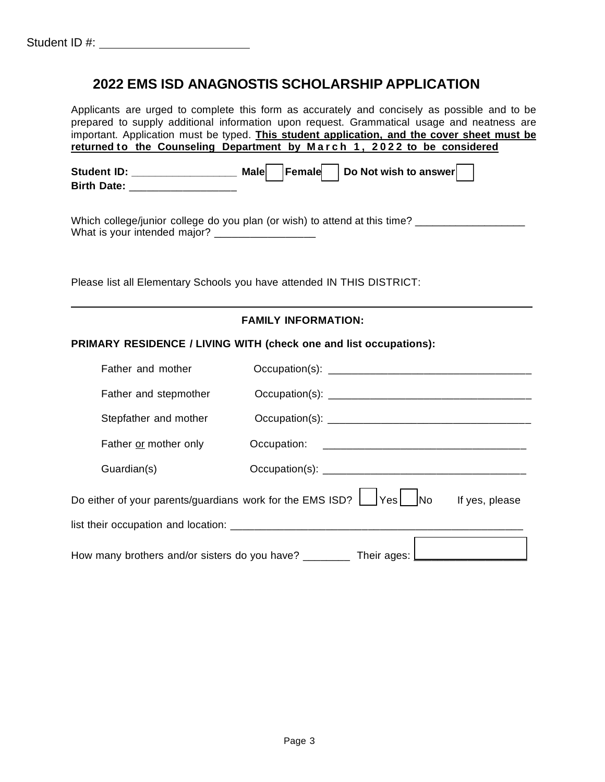## **2022 EMS ISD ANAGNOSTIS SCHOLARSHIP APPLICATION**

Applicants are urged to complete this form as accurately and concisely as possible and to be prepared to supply additional information upon request. Grammatical usage and neatness are important. Application must be typed. **This student application, and the cover sheet must be returned to the Counseling Department by M a r c h 1 , 2 0 2 2 to be considered Student ID: \_\_\_\_\_\_\_\_\_\_\_\_\_\_\_\_\_\_ Male Female Do Not wish to answer Birth Date:** \_\_\_\_\_\_\_\_\_\_\_\_\_\_\_\_\_\_ Which college/junior college do you plan (or wish) to attend at this time? What is your intended major? \_\_\_\_\_\_\_\_\_\_\_\_\_\_\_\_\_\_\_ Please list all Elementary Schools you have attended IN THIS DISTRICT: **FAMILY INFORMATION: PRIMARY RESIDENCE / LIVING WITH (check one and list occupations):** Father and mother Occupation(s): \_\_\_\_\_\_\_\_\_\_\_\_\_\_\_\_\_\_\_\_\_\_\_\_\_\_\_\_\_\_\_\_\_\_ Father and stepmother Occupation(s): \_\_\_\_\_\_\_\_\_\_\_\_\_\_\_\_\_\_\_\_\_\_\_\_\_\_\_\_\_\_\_\_\_\_ Stepfather and mother Occupation(s): \_\_\_\_\_\_\_\_\_\_\_\_\_\_\_\_\_\_\_\_\_\_\_\_\_\_\_\_\_\_\_\_\_\_ Father or mother only Occupation: \_\_\_\_\_\_\_\_\_\_\_\_\_\_\_\_\_\_\_\_\_\_\_\_\_\_\_\_\_\_\_\_\_\_ Guardian(s) Occupation(s): \_\_\_\_\_\_\_\_\_\_\_\_\_\_\_\_\_\_\_\_\_\_\_\_\_\_\_\_\_\_\_\_\_\_ Do either of your parents/guardians work for the EMS ISD?  $\vert$   $\vert$  Yes  $\vert$  No If yes, please list their occupation and location:  $\blacksquare$ How many brothers and/or sisters do you have? \_\_\_\_\_\_\_\_\_\_ Their ages:  $\Box$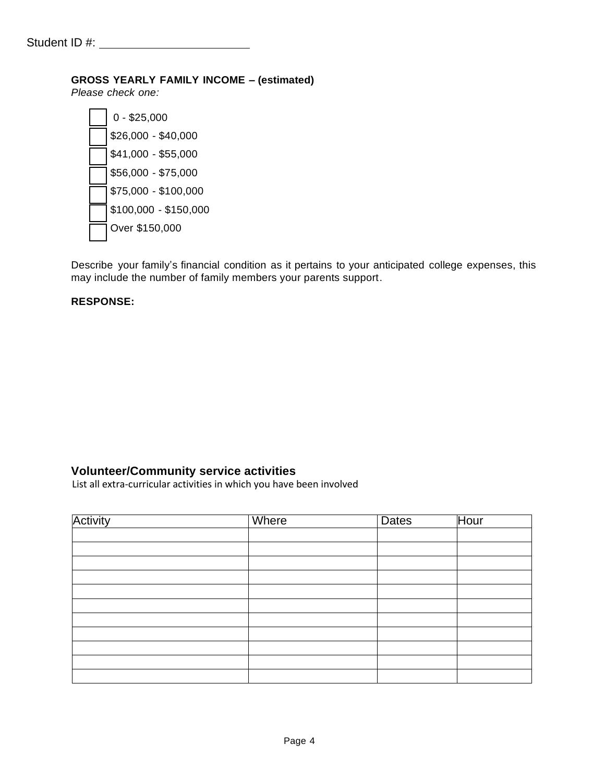#### **GROSS YEARLY FAMILY INCOME – (estimated)**

*Please check one:*

| $0 - $25,000$         |
|-----------------------|
| \$26,000 - \$40,000   |
| \$41,000 - \$55,000   |
| \$56,000 - \$75,000   |
| \$75,000 - \$100,000  |
| $$100,000 - $150,000$ |
| Over \$150,000        |
|                       |

Describe your family's financial condition as it pertains to your anticipated college expenses, this may include the number of family members your parents support.

#### **RESPONSE:**

#### **Volunteer/Community service activities**

List all extra-curricular activities in which you have been involved

| Activity | Where | <b>Dates</b> | Hour |
|----------|-------|--------------|------|
|          |       |              |      |
|          |       |              |      |
|          |       |              |      |
|          |       |              |      |
|          |       |              |      |
|          |       |              |      |
|          |       |              |      |
|          |       |              |      |
|          |       |              |      |
|          |       |              |      |
|          |       |              |      |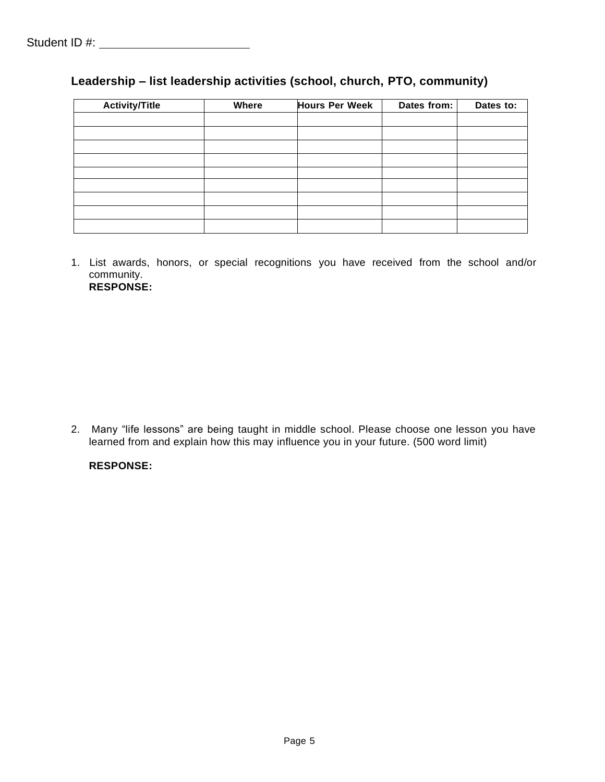|  | Leadership – list leadership activities (school, church, PTO, community) |  |  |
|--|--------------------------------------------------------------------------|--|--|
|--|--------------------------------------------------------------------------|--|--|

| <b>Activity/Title</b> | Where | <b>Hours Per Week</b> | Dates from: | Dates to: |
|-----------------------|-------|-----------------------|-------------|-----------|
|                       |       |                       |             |           |
|                       |       |                       |             |           |
|                       |       |                       |             |           |
|                       |       |                       |             |           |
|                       |       |                       |             |           |
|                       |       |                       |             |           |
|                       |       |                       |             |           |
|                       |       |                       |             |           |
|                       |       |                       |             |           |

1. List awards, honors, or special recognitions you have received from the school and/or community. **RESPONSE:**

2. Many "life lessons" are being taught in middle school. Please choose one lesson you have learned from and explain how this may influence you in your future. (500 word limit)

#### **RESPONSE:**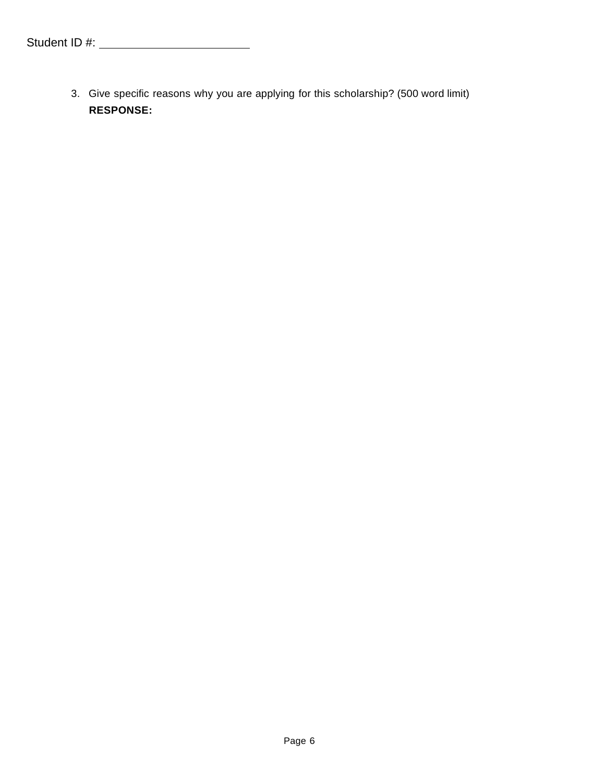3. Give specific reasons why you are applying for this scholarship? (500 word limit) **RESPONSE:**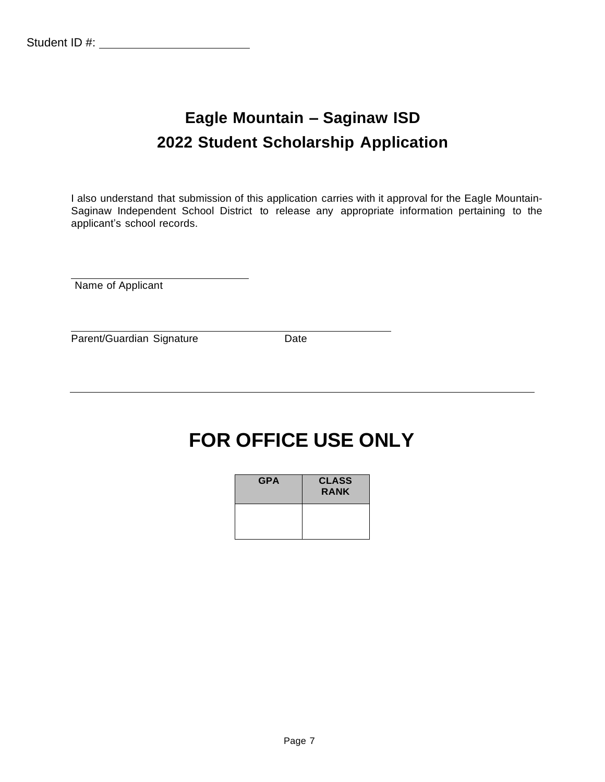# **Eagle Mountain – Saginaw ISD 2022 Student Scholarship Application**

I also understand that submission of this application carries with it approval for the Eagle Mountain-Saginaw Independent School District to release any appropriate information pertaining to the applicant's school records.

Name of Applicant

Parent/Guardian Signature Date

# **FOR OFFICE USE ONLY**

| <b>GPA</b> | <b>CLASS</b><br><b>RANK</b> |
|------------|-----------------------------|
|            |                             |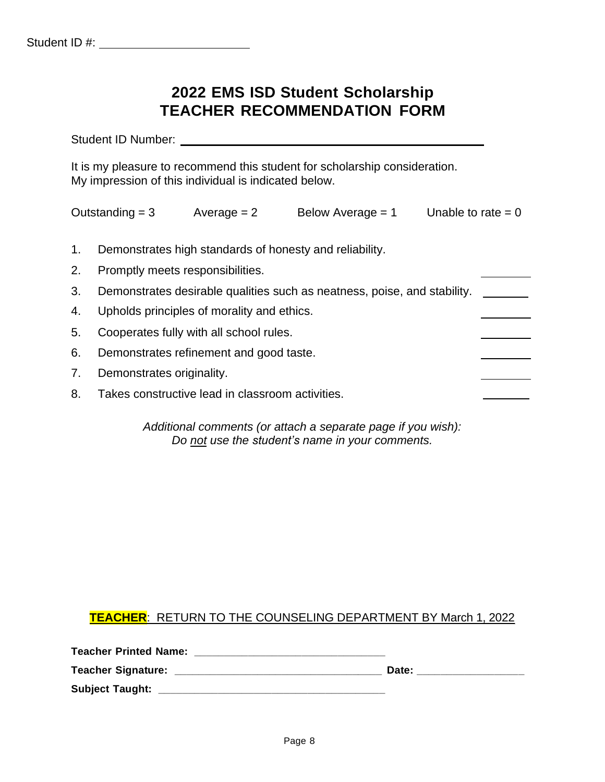# **2022 EMS ISD Student Scholarship TEACHER RECOMMENDATION FORM**

Student ID Number:

It is my pleasure to recommend this student for scholarship consideration. My impression of this individual is indicated below.

|    | Outstanding $=$ 3                | Average $= 2$                                    | Below Average $= 1$                                                      | Unable to rate $= 0$ |
|----|----------------------------------|--------------------------------------------------|--------------------------------------------------------------------------|----------------------|
|    |                                  |                                                  |                                                                          |                      |
| 1. |                                  |                                                  | Demonstrates high standards of honesty and reliability.                  |                      |
| 2. | Promptly meets responsibilities. |                                                  |                                                                          |                      |
| 3. |                                  |                                                  | Demonstrates desirable qualities such as neatness, poise, and stability. |                      |
| 4. |                                  | Upholds principles of morality and ethics.       |                                                                          |                      |
| 5. |                                  | Cooperates fully with all school rules.          |                                                                          |                      |
| 6. |                                  | Demonstrates refinement and good taste.          |                                                                          |                      |
| 7. | Demonstrates originality.        |                                                  |                                                                          |                      |
| 8. |                                  | Takes constructive lead in classroom activities. |                                                                          |                      |
|    |                                  |                                                  |                                                                          |                      |

*Additional comments (or attach a separate page if you wish): Do not use the student's name in your comments.*

### **TEACHER**: RETURN TO THE COUNSELING DEPARTMENT BY March 1, 2022

| <b>Teacher Printed Name:</b> |       |
|------------------------------|-------|
| <b>Teacher Signature:</b>    | Date: |
| <b>Subject Taught:</b>       |       |